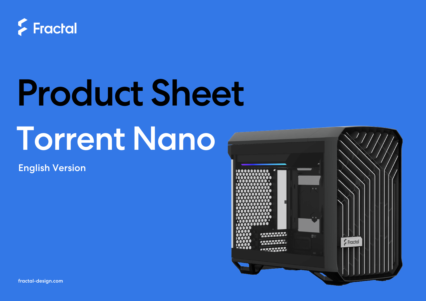

# Product Sheet Torrent Nano

English Version



fractal-design.com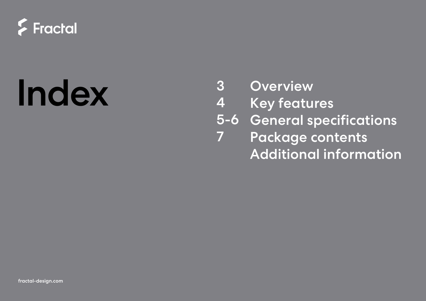

# Index 3 Overview<br>4 Key featu

3

4

- Key features
- 5-6 General specifications
- Package contents Additional information 7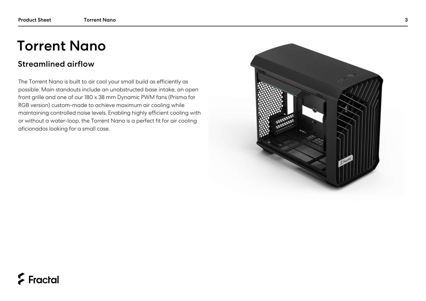# Torrent Nano

#### Streamlined airflow

The Torrent Nano is built to air cool your small build as efficiently as possible. Main standouts include an unobstructed base intake, an open front grille and one of our 180 x 38 mm Dynamic PWM fans (Prisma for RGB version) custom-made to achieve maximum air cooling while maintaining controlled noise levels. Enabling highly efficient cooling with or without a water-loop, the Torrent Nano is a perfect fit for air cooling aficionados looking for a small case.



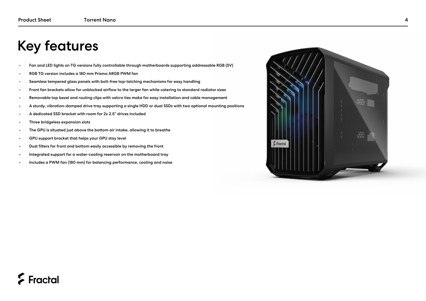## Key features

- Fan and LED lights on TG versions fully controllable through motherboards supporting addressable RGB (5V)
- RGB TG version includes a 180 mm Prisma ARGB PWM fan
- Seamless tempered glass panels with bolt-free top-latching mechanisms for easy handling
- Front fan brackets allow for unblocked airflow to the larger fan while catering to standard radiator sizes
- Removable top bezel and routing clips with velcro ties make for easy installation and cable management
- A sturdy, vibration-damped drive tray supporting a single HDD or dual SSDs with two optional mounting positions
- A dedicated SSD bracket with room for 2x 2.5" drives included
- Three bridgeless expansion slots
- The GPU is situated just above the bottom air intake, allowing it to breathe
- GPU support bracket that helps your GPU stay level
- Dust filters for front and bottom easily accessible by removing the front
- Integrated support for a water-cooling reservoir on the motherboard tray
- Includes a PWM fan (180 mm) for balancing performance, cooling and noise



#### $\sum$  Fractal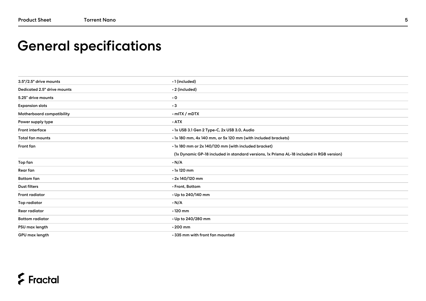# General specifications

| 3.5"/2.5" drive mounts             | $\cdot$ 1 (included)                                                                      |  |  |
|------------------------------------|-------------------------------------------------------------------------------------------|--|--|
| <b>Dedicated 2.5" drive mounts</b> | · 2 (included)                                                                            |  |  |
| 5.25" drive mounts                 | $\cdot$ 0                                                                                 |  |  |
| <b>Expansion slots</b>             | $\cdot$ 3                                                                                 |  |  |
| Motherboard compatibility          | $\cdot$ mITX / mDTX                                                                       |  |  |
| Power supply type                  | $\cdot$ ATX                                                                               |  |  |
| Front interface                    | · 1x USB 3.1 Gen 2 Type-C, 2x USB 3.0, Audio                                              |  |  |
| <b>Total fan mounts</b>            | · 1x 180 mm, 4x 140 mm, or 5x 120 mm (with included brackets)                             |  |  |
| Front fan                          | . 1x 180 mm or 2x 140/120 mm (with included bracket)                                      |  |  |
|                                    | (1x Dynamic GP-18 included in standard versions, 1x Prisma AL-18 included in RGB version) |  |  |
| Top fan                            | $\cdot$ N/A                                                                               |  |  |
| Rear fan                           | $\cdot$ 1x 120 mm                                                                         |  |  |
| <b>Bottom</b> fan                  | $\cdot$ 2x 140/120 mm                                                                     |  |  |
| <b>Dust filters</b>                | • Front, Bottom                                                                           |  |  |
| <b>Front radiator</b>              | • Up to 240/140 mm                                                                        |  |  |
| Top radiator                       | $\cdot$ N/A                                                                               |  |  |
| <b>Rear radiator</b>               | $\cdot$ 120 mm                                                                            |  |  |
| <b>Bottom radiator</b>             | • Up to 240/280 mm                                                                        |  |  |
| PSU max length                     | $\cdot$ 200 mm                                                                            |  |  |
| GPU max length                     | • 335 mm with front fan mounted                                                           |  |  |

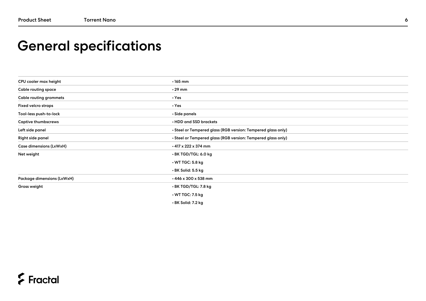# General specifications

| CPU cooler max height         | $\cdot$ 165 mm                                               |
|-------------------------------|--------------------------------------------------------------|
| Cable routing space           | $\cdot$ 29 mm                                                |
| <b>Cable routing grommets</b> | $\cdot$ Yes                                                  |
| <b>Fixed velcro straps</b>    | $\cdot$ Yes                                                  |
| Tool-less push-to-lock        | · Side panels                                                |
| <b>Captive thumbscrews</b>    | . HDD and SSD brackets                                       |
| Left side panel               | · Steel or Tempered glass (RGB version: Tempered glass only) |
| Right side panel              | · Steel or Tempered glass (RGB version: Tempered glass only) |
| Case dimensions (LxWxH)       | $\cdot$ 417 x 222 x 374 mm                                   |
| Net weight                    | ⋅BK TGD/TGL: 6.0 kg                                          |
|                               | $\cdot$ WT TGC: 5.8 kg                                       |
|                               | • BK Solid: 5.5 kg                                           |
| Package dimensions (LxWxH)    | $\cdot$ 446 x 300 x 538 mm                                   |
| Gross weight                  | $\cdot$ BK TGD/TGL: 7.8 kg                                   |
|                               | $\cdot$ WT TGC: 7.5 kg                                       |
|                               | • BK Solid: 7.2 kg                                           |